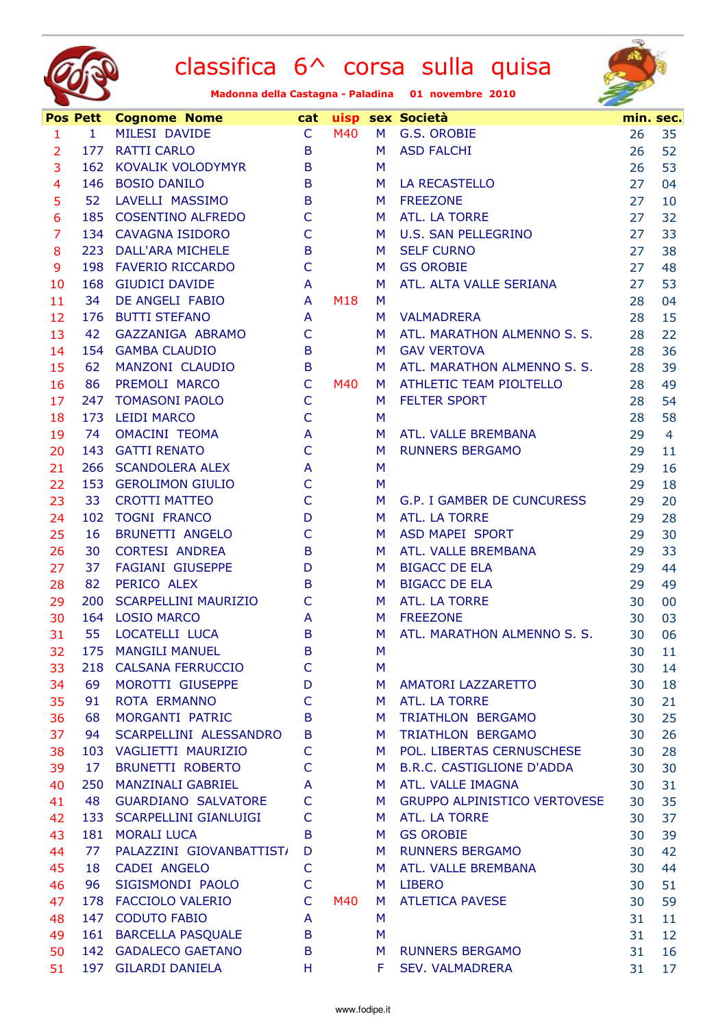



|                          | <b>Pos Pett</b> | <b>Cognome Nome</b>         | cat          |     |    | uisp sex Società                    | min. sec. |                |
|--------------------------|-----------------|-----------------------------|--------------|-----|----|-------------------------------------|-----------|----------------|
| $\mathbf{1}$             | $\mathbf{1}$    | MILESI DAVIDE               | $\mathsf{C}$ | M40 | M  | G.S. OROBIE                         | 26        | 35             |
| $\overline{2}$           |                 | 177 RATTI CARLO             | B            |     | M  | <b>ASD FALCHI</b>                   | 26        | 52             |
| 3                        |                 | 162 KOVALIK VOLODYMYR       | B            |     | M  |                                     | 26        | 53             |
| $\overline{\mathcal{A}}$ | 146             | <b>BOSIO DANILO</b>         | B            |     | M  | <b>LA RECASTELLO</b>                | 27        | 04             |
| 5                        | 52              | LAVELLI MASSIMO             | B            |     | M  | <b>FREEZONE</b>                     | 27        | 10             |
| 6                        |                 | 185 COSENTINO ALFREDO       | $\mathsf C$  |     | M  | ATL. LA TORRE                       | 27        | 32             |
| $\overline{7}$           |                 | 134 CAVAGNA ISIDORO         | $\mathsf{C}$ |     | M  | <b>U.S. SAN PELLEGRINO</b>          | 27        | 33             |
| 8                        |                 | 223 DALL'ARA MICHELE        | B            |     | M  | <b>SELF CURNO</b>                   | 27        | 38             |
| 9                        |                 | 198 FAVERIO RICCARDO        | $\mathsf{C}$ |     | M  | <b>GS OROBIE</b>                    | 27        | 48             |
| 10                       |                 | 168 GIUDICI DAVIDE          | A            |     | M  | ATL. ALTA VALLE SERIANA             | 27        | 53             |
| 11                       | 34              | DE ANGELI FABIO             | A            | M18 | M  |                                     | 28        | 04             |
| 12                       | 176             | <b>BUTTI STEFANO</b>        | A            |     | M  | <b>VALMADRERA</b>                   | 28        | 15             |
| 13                       | 42              | GAZZANIGA ABRAMO            | $\mathsf{C}$ |     | M  | ATL. MARATHON ALMENNO S. S.         | 28        | 22             |
| 14                       |                 | 154 GAMBA CLAUDIO           | B            |     | M  | <b>GAV VERTOVA</b>                  | 28        | 36             |
| 15                       | 62              | MANZONI CLAUDIO             | B            |     | M  | ATL. MARATHON ALMENNO S. S.         | 28        | 39             |
| 16                       | 86              | PREMOLI MARCO               | $\mathsf{C}$ | M40 | M. | ATHLETIC TEAM PIOLTELLO             | 28        | 49             |
| 17                       |                 | 247 TOMASONI PAOLO          | $\mathsf{C}$ |     | M  | <b>FELTER SPORT</b>                 | 28        | 54             |
| 18                       | 173             | <b>LEIDI MARCO</b>          | $\mathsf{C}$ |     | M  |                                     | 28        | 58             |
| 19                       | 74              | <b>OMACINI TEOMA</b>        | A            |     | M  | ATL. VALLE BREMBANA                 | 29        | $\overline{4}$ |
| 20                       |                 | 143 GATTI RENATO            | $\mathsf{C}$ |     | M  | <b>RUNNERS BERGAMO</b>              | 29        | 11             |
| 21                       |                 | 266 SCANDOLERA ALEX         | A            |     | M  |                                     | 29        | 16             |
| 22                       |                 | 153 GEROLIMON GIULIO        | $\mathsf{C}$ |     | M  |                                     | 29        | 18             |
| 23                       | 33              | <b>CROTTI MATTEO</b>        | $\mathsf{C}$ |     | M  | G.P. I GAMBER DE CUNCURESS          | 29        | 20             |
| 24                       |                 | 102 TOGNI FRANCO            | D            |     | M  | ATL. LA TORRE                       | 29        | 28             |
| 25                       | 16              | <b>BRUNETTI ANGELO</b>      | $\mathsf{C}$ |     | M  | ASD MAPEI SPORT                     | 29        | 30             |
| 26                       | 30              | <b>CORTESI ANDREA</b>       | B            |     | M  | ATL. VALLE BREMBANA                 | 29        | 33             |
| 27                       | 37              | <b>FAGIANI GIUSEPPE</b>     | D            |     | M  | <b>BIGACC DE ELA</b>                | 29        | 44             |
| 28                       | 82              | PERICO ALEX                 | B            |     | M  | <b>BIGACC DE ELA</b>                | 29        | 49             |
| 29                       | 200             | <b>SCARPELLINI MAURIZIO</b> | C            |     | M  | ATL. LA TORRE                       | 30        | 00             |
| 30                       | 164             | <b>LOSIO MARCO</b>          | A            |     | M. | <b>FREEZONE</b>                     | 30        | 03             |
| 31                       | 55              | LOCATELLI LUCA              | B            |     | M  | ATL. MARATHON ALMENNO S. S.         | 30        | 06             |
| 32                       | 175             | <b>MANGILI MANUEL</b>       | B            |     | M  |                                     | 30        | 11             |
| 33                       | 218             | <b>CALSANA FERRUCCIO</b>    | C            |     | M  |                                     | 30        | 14             |
| 34                       | 69              | MOROTTI GIUSEPPE            | D            |     | M  | AMATORI LAZZARETTO                  | 30        | 18             |
| 35                       | 91              | <b>ROTA ERMANNO</b>         | C            |     | M  | ATL. LA TORRE                       | 30        | 21             |
| 36                       | 68              | MORGANTI PATRIC             | B            |     | M  | TRIATHLON BERGAMO                   | 30        | 25             |
| 37                       | 94              | SCARPELLINI ALESSANDRO      | B            |     | M  | TRIATHLON BERGAMO                   | 30        | 26             |
| 38                       | 103             | VAGLIETTI MAURIZIO          | $\mathsf{C}$ |     | M  | POL. LIBERTAS CERNUSCHESE           | 30        | 28             |
| 39                       | 17              | <b>BRUNETTI ROBERTO</b>     | $\mathsf{C}$ |     | M  | <b>B.R.C. CASTIGLIONE D'ADDA</b>    | 30        | 30             |
| 40                       | 250             | <b>MANZINALI GABRIEL</b>    | A            |     | M  | ATL. VALLE IMAGNA                   | 30        | 31             |
| 41                       | 48              | <b>GUARDIANO SALVATORE</b>  | C            |     | M  | <b>GRUPPO ALPINISTICO VERTOVESE</b> | 30        | 35             |
| 42                       |                 | 133 SCARPELLINI GIANLUIGI   | $\mathsf{C}$ |     | M. | ATL. LA TORRE                       | 30        | 37             |
| 43                       | 181             | <b>MORALI LUCA</b>          | B            |     | M  | <b>GS OROBIE</b>                    | 30        | 39             |
| 44                       | 77              | PALAZZINI GIOVANBATTIST/    | D            |     | M  | <b>RUNNERS BERGAMO</b>              | 30        | 42             |
| 45                       | 18              | <b>CADEI ANGELO</b>         | $\mathsf{C}$ |     | M  | ATL. VALLE BREMBANA                 | 30        | 44             |
| 46                       | 96              | SIGISMONDI PAOLO            | $\mathsf{C}$ |     | M  | <b>LIBERO</b>                       | 30        | 51             |
| 47                       | 178             | <b>FACCIOLO VALERIO</b>     | $\mathsf{C}$ | M40 | M  | <b>ATLETICA PAVESE</b>              | 30        | 59             |
| 48                       |                 | 147 CODUTO FABIO            | A            |     | M  |                                     | 31        | 11             |
| 49                       |                 | 161 BARCELLA PASQUALE       | B            |     | M  |                                     | 31        | 12             |
| 50                       |                 | 142 GADALECO GAETANO        | B            |     | M  | <b>RUNNERS BERGAMO</b>              | 31        | 16             |
| 51                       | 197             | <b>GILARDI DANIELA</b>      | H            |     | F  | <b>SEV. VALMADRERA</b>              | 31        | 17             |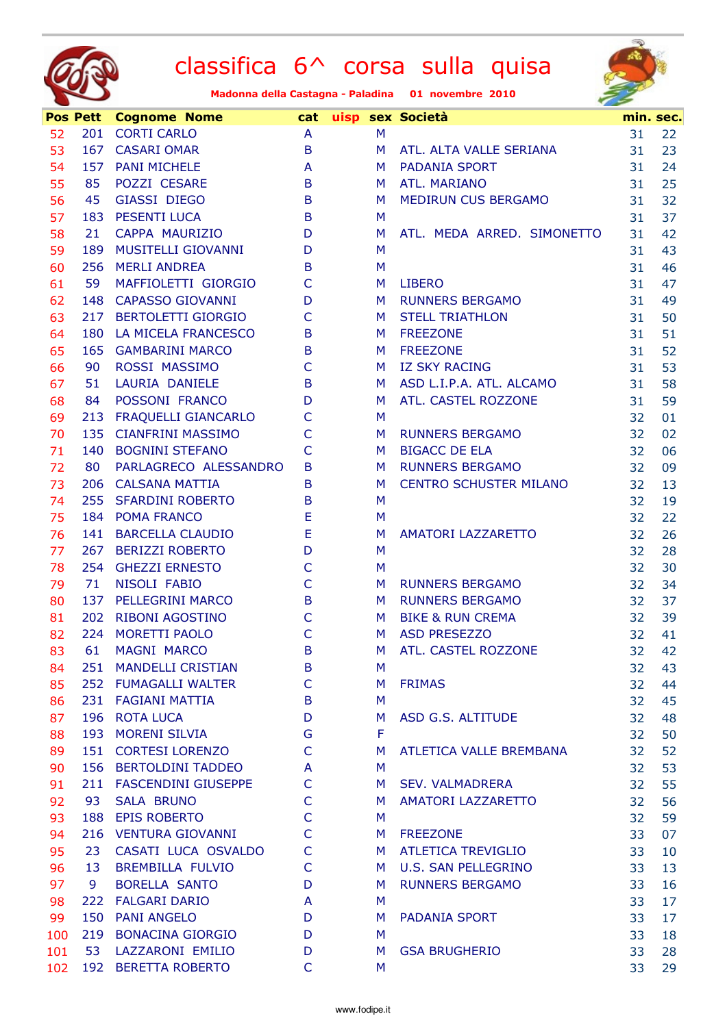



|     | <b>Pos Pett</b> | <b>Cognome Nome</b>        | cat          |   | uisp sex Società              | min. sec. |    |
|-----|-----------------|----------------------------|--------------|---|-------------------------------|-----------|----|
| 52  |                 | 201 CORTI CARLO            | A            | M |                               | 31        | 22 |
| 53  |                 | 167 CASARI OMAR            | B            | M | ATL. ALTA VALLE SERIANA       | 31        | 23 |
| 54  | 157             | <b>PANI MICHELE</b>        | A            | M | <b>PADANIA SPORT</b>          | 31        | 24 |
| 55  | 85              | POZZI CESARE               | B            | M | ATL. MARIANO                  | 31        | 25 |
| 56  | 45              | <b>GIASSI DIEGO</b>        | B            | M | MEDIRUN CUS BERGAMO           | 31        | 32 |
| 57  | 183             | <b>PESENTI LUCA</b>        | B            | M |                               | 31        | 37 |
| 58  | 21              | CAPPA MAURIZIO             | D            | M | ATL. MEDA ARRED. SIMONETTO    | 31        | 42 |
| 59  | 189             | <b>MUSITELLI GIOVANNI</b>  | D            | M |                               | 31        | 43 |
| 60  |                 | 256 MERLI ANDREA           | B            | M |                               | 31        | 46 |
| 61  | 59              | MAFFIOLETTI GIORGIO        | $\mathsf{C}$ | M | <b>LIBERO</b>                 | 31        | 47 |
| 62  | 148             | <b>CAPASSO GIOVANNI</b>    | D            | M | <b>RUNNERS BERGAMO</b>        | 31        | 49 |
| 63  | 217             | <b>BERTOLETTI GIORGIO</b>  | $\mathsf{C}$ | M | <b>STELL TRIATHLON</b>        | 31        | 50 |
| 64  | 180             | LA MICELA FRANCESCO        | B            | M | <b>FREEZONE</b>               | 31        | 51 |
| 65  | 165             | <b>GAMBARINI MARCO</b>     | B            | M | <b>FREEZONE</b>               | 31        | 52 |
| 66  | 90              | ROSSI MASSIMO              | C            | M | <b>IZ SKY RACING</b>          | 31        | 53 |
| 67  | 51              | LAURIA DANIELE             | B            | M | ASD L.I.P.A. ATL. ALCAMO      | 31        | 58 |
| 68  | 84              | POSSONI FRANCO             | D            | M | ATL. CASTEL ROZZONE           | 31        | 59 |
| 69  | 213             | <b>FRAQUELLI GIANCARLO</b> | C            | M |                               | 32        | 01 |
| 70  | 135             | <b>CIANFRINI MASSIMO</b>   | $\mathsf{C}$ | M | <b>RUNNERS BERGAMO</b>        | 32        | 02 |
| 71  |                 | 140 BOGNINI STEFANO        | $\mathsf{C}$ | M | <b>BIGACC DE ELA</b>          | 32        | 06 |
| 72  | 80              | PARLAGRECO ALESSANDRO      | B            | M | <b>RUNNERS BERGAMO</b>        | 32        | 09 |
| 73  |                 | 206 CALSANA MATTIA         | B            | M | <b>CENTRO SCHUSTER MILANO</b> | 32        | 13 |
| 74  | 255             | <b>SFARDINI ROBERTO</b>    | B            | M |                               | 32        | 19 |
| 75  |                 | 184 POMA FRANCO            | Ε            | M |                               | 32        | 22 |
| 76  | 141             | <b>BARCELLA CLAUDIO</b>    | Ε            | M | <b>AMATORI LAZZARETTO</b>     | 32        | 26 |
| 77  | 267             | <b>BERIZZI ROBERTO</b>     | D            | M |                               | 32        | 28 |
| 78  |                 | 254 GHEZZI ERNESTO         | C            | M |                               | 32        | 30 |
| 79  | 71              | NISOLI FABIO               | $\mathsf{C}$ | M | <b>RUNNERS BERGAMO</b>        | 32        | 34 |
| 80  | 137             | <b>PELLEGRINI MARCO</b>    | B            | M | <b>RUNNERS BERGAMO</b>        | 32        | 37 |
| 81  | 202             | <b>RIBONI AGOSTINO</b>     | C            | M | <b>BIKE &amp; RUN CREMA</b>   | 32        | 39 |
| 82  | 224             | <b>MORETTI PAOLO</b>       | $\mathsf{C}$ | M | <b>ASD PRESEZZO</b>           | 32        | 41 |
| 83  | 61              | MAGNI MARCO                | B            | м | ATL. CASTEL ROZZONE           | 32        | 42 |
| 84  | 251             | <b>MANDELLI CRISTIAN</b>   | B            | M |                               | 32        | 43 |
| 85  | 252             | <b>FUMAGALLI WALTER</b>    | C            | M | <b>FRIMAS</b>                 | 32        | 44 |
| 86  | 231             | <b>FAGIANI MATTIA</b>      | B            | M |                               | 32        | 45 |
| 87  | 196             | <b>ROTA LUCA</b>           | D            | M | ASD G.S. ALTITUDE             | 32        | 48 |
| 88  | 193             | <b>MORENI SILVIA</b>       | G            | F |                               | 32        | 50 |
| 89  |                 | 151 CORTESI LORENZO        | $\mathsf{C}$ | M | ATLETICA VALLE BREMBANA       | 32        | 52 |
| 90  | 156             | <b>BERTOLDINI TADDEO</b>   | A            | M |                               | 32        | 53 |
| 91  |                 | 211 FASCENDINI GIUSEPPE    | C            | M | <b>SEV. VALMADRERA</b>        | 32        | 55 |
| 92  | 93              | <b>SALA BRUNO</b>          | C            | M | <b>AMATORI LAZZARETTO</b>     | 32        | 56 |
| 93  |                 | 188 EPIS ROBERTO           | $\mathsf{C}$ | M |                               | 32        | 59 |
| 94  | 216             | <b>VENTURA GIOVANNI</b>    | C            | M | <b>FREEZONE</b>               | 33        | 07 |
| 95  | 23              | CASATI LUCA OSVALDO        | C            | M | <b>ATLETICA TREVIGLIO</b>     | 33        | 10 |
| 96  | 13              | BREMBILLA FULVIO           | C            | M | <b>U.S. SAN PELLEGRINO</b>    | 33        | 13 |
| 97  | 9               | <b>BORELLA SANTO</b>       | D            | M | <b>RUNNERS BERGAMO</b>        | 33        | 16 |
| 98  |                 | 222 FALGARI DARIO          | A            | M |                               | 33        | 17 |
| 99  | 150             | <b>PANI ANGELO</b>         | D            | M | PADANIA SPORT                 | 33        | 17 |
| 100 |                 | 219 BONACINA GIORGIO       | D            | M |                               | 33        | 18 |
| 101 | 53              | LAZZARONI EMILIO           | D            | M | <b>GSA BRUGHERIO</b>          | 33        | 28 |
| 102 |                 | 192 BERETTA ROBERTO        | C            | M |                               | 33        | 29 |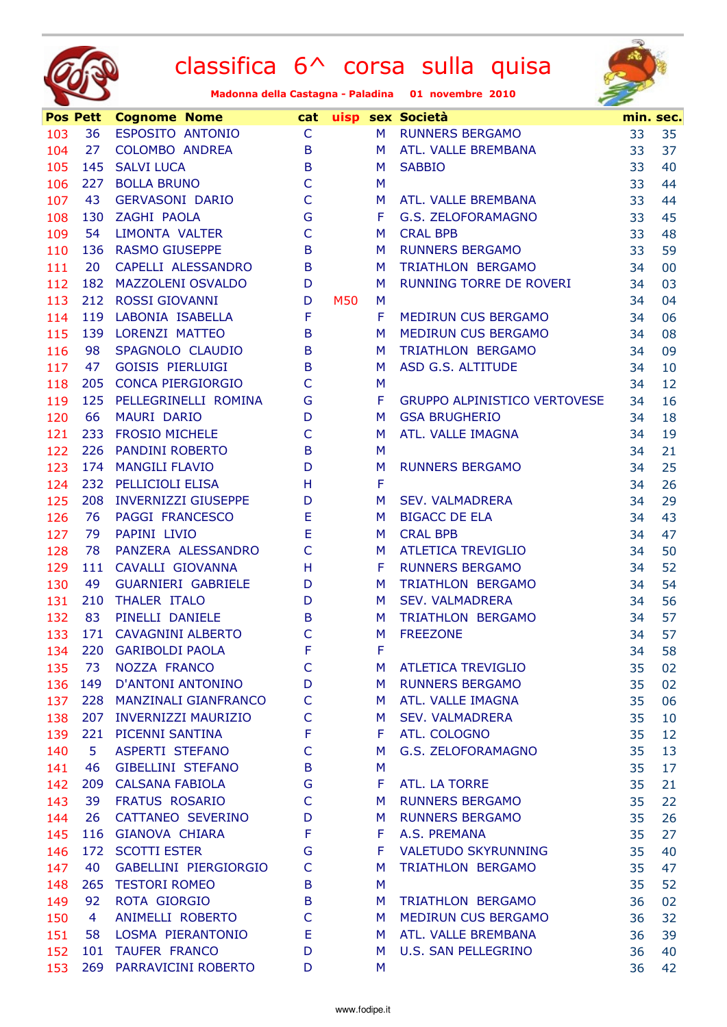



|     | <b>Pos Pett</b> | <b>Cognome Nome</b>        | cat          |            |    | uisp sex Società                    |    | min. sec. |
|-----|-----------------|----------------------------|--------------|------------|----|-------------------------------------|----|-----------|
| 103 | 36              | ESPOSITO ANTONIO           | $\mathsf{C}$ |            | M  | <b>RUNNERS BERGAMO</b>              | 33 | 35        |
| 104 | 27              | COLOMBO ANDREA             | B            |            | M  | ATL. VALLE BREMBANA                 | 33 | 37        |
| 105 |                 | 145 SALVI LUCA             | B            |            | M  | <b>SABBIO</b>                       | 33 | 40        |
| 106 | 227             | <b>BOLLA BRUNO</b>         | $\mathsf{C}$ |            | M  |                                     | 33 | 44        |
| 107 | 43              | <b>GERVASONI DARIO</b>     | $\mathsf{C}$ |            | M  | ATL. VALLE BREMBANA                 | 33 | 44        |
| 108 |                 | 130 ZAGHI PAOLA            | G            |            | F. | G.S. ZELOFORAMAGNO                  | 33 | 45        |
| 109 | 54              | <b>LIMONTA VALTER</b>      | $\mathsf{C}$ |            | M  | <b>CRAL BPB</b>                     | 33 | 48        |
| 110 |                 | 136 RASMO GIUSEPPE         | B            |            | M  | <b>RUNNERS BERGAMO</b>              | 33 | 59        |
| 111 | 20              | CAPELLI ALESSANDRO         | B            |            | M  | TRIATHLON BERGAMO                   | 34 | 00        |
| 112 |                 | 182 MAZZOLENI OSVALDO      | D            |            | M  | RUNNING TORRE DE ROVERI             | 34 | 03        |
| 113 |                 | 212 ROSSI GIOVANNI         | D            | <b>M50</b> | M  |                                     | 34 | 04        |
| 114 | 119             | LABONIA ISABELLA           | $\mathsf F$  |            | F  | MEDIRUN CUS BERGAMO                 | 34 | 06        |
| 115 |                 | 139 LORENZI MATTEO         | B            |            | M  | MEDIRUN CUS BERGAMO                 | 34 | 08        |
| 116 | 98              | SPAGNOLO CLAUDIO           | B            |            | M  | TRIATHLON BERGAMO                   | 34 | 09        |
| 117 | 47              | <b>GOISIS PIERLUIGI</b>    | B            |            | M  | ASD G.S. ALTITUDE                   | 34 | 10        |
| 118 |                 | 205 CONCA PIERGIORGIO      | $\mathsf{C}$ |            | M  |                                     | 34 | 12        |
| 119 |                 | 125 PELLEGRINELLI ROMINA   | G            |            | F  | <b>GRUPPO ALPINISTICO VERTOVESE</b> | 34 | 16        |
| 120 | 66              | MAURI DARIO                | D            |            | M  | <b>GSA BRUGHERIO</b>                | 34 | 18        |
| 121 | 233             | <b>FROSIO MICHELE</b>      | $\mathsf{C}$ |            | M  | ATL. VALLE IMAGNA                   | 34 | 19        |
| 122 |                 | 226 PANDINI ROBERTO        | $\mathsf B$  |            | M  |                                     | 34 | 21        |
| 123 |                 | 174 MANGILI FLAVIO         | D            |            | M  | <b>RUNNERS BERGAMO</b>              | 34 | 25        |
| 124 |                 | 232 PELLICIOLI ELISA       | H            |            | F  |                                     | 34 | 26        |
| 125 | 208             | <b>INVERNIZZI GIUSEPPE</b> | D            |            | M  | <b>SEV. VALMADRERA</b>              | 34 | 29        |
| 126 | 76              | <b>PAGGI FRANCESCO</b>     | E            |            | M  | <b>BIGACC DE ELA</b>                | 34 | 43        |
| 127 | 79              | PAPINI LIVIO               | E            |            | M  | <b>CRAL BPB</b>                     | 34 | 47        |
| 128 | 78              | PANZERA ALESSANDRO         | $\mathsf{C}$ |            | M  | <b>ATLETICA TREVIGLIO</b>           | 34 | 50        |
| 129 | 111             | CAVALLI GIOVANNA           | H            |            | F  | <b>RUNNERS BERGAMO</b>              | 34 | 52        |
| 130 | 49              | <b>GUARNIERI GABRIELE</b>  | D            |            | M  | TRIATHLON BERGAMO                   | 34 | 54        |
| 131 | 210             | THALER ITALO               | D            |            | M  | <b>SEV. VALMADRERA</b>              | 34 | 56        |
| 132 | 83              | PINELLI DANIELE            | B            |            | M  | TRIATHLON BERGAMO                   | 34 | 57        |
| 133 | 171             | <b>CAVAGNINI ALBERTO</b>   | $\mathsf{C}$ |            | M  | <b>FREEZONE</b>                     | 34 | 57        |
| 134 | 220             | <b>GARIBOLDI PAOLA</b>     | F            |            | F  |                                     | 34 | 58        |
| 135 | 73              | NOZZA FRANCO               | C            |            | M  | <b>ATLETICA TREVIGLIO</b>           | 35 | 02        |
| 136 | 149             | <b>D'ANTONI ANTONINO</b>   | D            |            | M  | <b>RUNNERS BERGAMO</b>              | 35 | 02        |
| 137 |                 | 228 MANZINALI GIANFRANCO   | $\mathsf{C}$ |            | M  | ATL. VALLE IMAGNA                   | 35 | 06        |
| 138 | 207             | <b>INVERNIZZI MAURIZIO</b> | C            |            | M  | <b>SEV. VALMADRERA</b>              | 35 | 10        |
| 139 | 221             | PICENNI SANTINA            | F            |            | F  | ATL. COLOGNO                        | 35 | 12        |
| 140 | 5               | <b>ASPERTI STEFANO</b>     | $\mathsf{C}$ |            | M  | G.S. ZELOFORAMAGNO                  | 35 | 13        |
| 141 | 46              | <b>GIBELLINI STEFANO</b>   | B            |            | M  |                                     | 35 | 17        |
| 142 |                 | 209 CALSANA FABIOLA        | G            |            | F  | ATL. LA TORRE                       | 35 | 21        |
| 143 | 39              | <b>FRATUS ROSARIO</b>      | C            |            | M  | <b>RUNNERS BERGAMO</b>              | 35 | 22        |
| 144 | 26              | CATTANEO SEVERINO          | D            |            | M  | <b>RUNNERS BERGAMO</b>              | 35 | 26        |
| 145 | 116             | <b>GIANOVA CHIARA</b>      | F            |            | F  | A.S. PREMANA                        | 35 | 27        |
| 146 | 172             | <b>SCOTTI ESTER</b>        | G            |            | F  | <b>VALETUDO SKYRUNNING</b>          | 35 |           |
| 147 | 40              | GABELLINI PIERGIORGIO      | C            |            |    | TRIATHLON BERGAMO                   | 35 | 40        |
|     |                 | <b>TESTORI ROMEO</b>       |              |            | M  |                                     |    | 47        |
| 148 | 265             | ROTA GIORGIO               | B            |            | M  |                                     | 35 | 52        |
| 149 | 92              |                            | B            |            | M  | TRIATHLON BERGAMO                   | 36 | 02        |
| 150 | 4               | ANIMELLI ROBERTO           | $\mathsf{C}$ |            | M  | MEDIRUN CUS BERGAMO                 | 36 | 32        |
| 151 | 58              | LOSMA PIERANTONIO          | Ε            |            | M. | ATL. VALLE BREMBANA                 | 36 | 39        |
| 152 | 101             | <b>TAUFER FRANCO</b>       | D            |            | M  | <b>U.S. SAN PELLEGRINO</b>          | 36 | 40        |
| 153 | 269             | PARRAVICINI ROBERTO        | D            |            | M  |                                     | 36 | 42        |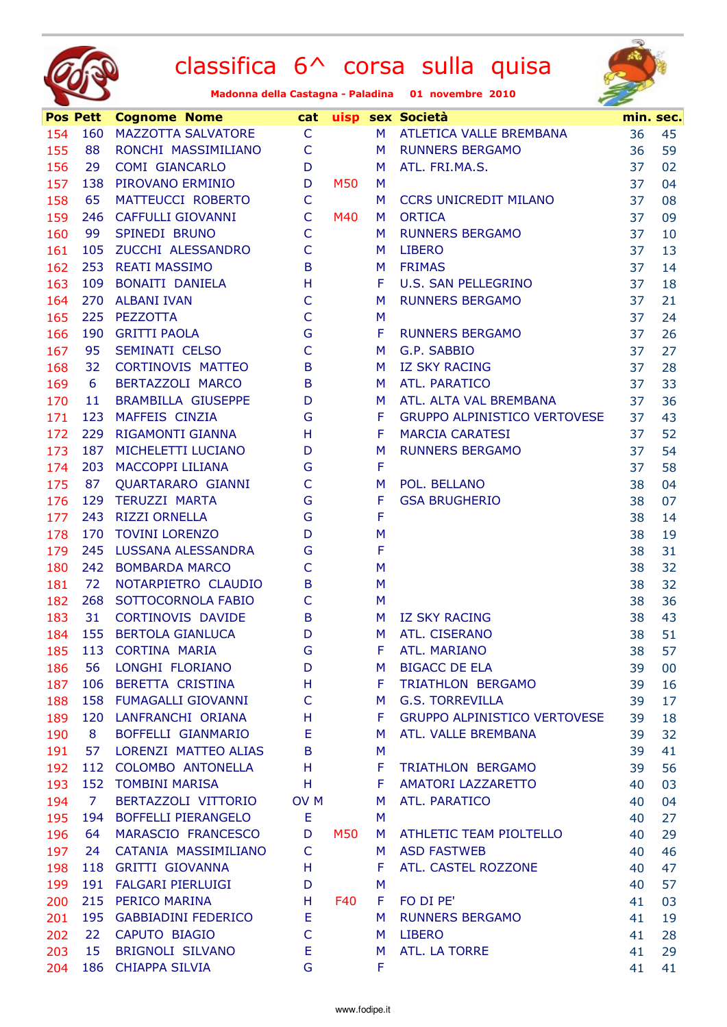



|     | <b>Pos Pett</b> | <b>Cognome Nome</b>       | cat             |     |             | uisp sex Società                    |    | min. sec. |
|-----|-----------------|---------------------------|-----------------|-----|-------------|-------------------------------------|----|-----------|
| 154 |                 | 160 MAZZOTTA SALVATORE    | $\mathsf{C}$    |     | M           | ATLETICA VALLE BREMBANA             | 36 | 45        |
| 155 | 88              | RONCHI MASSIMILIANO       | $\mathsf{C}$    |     | M           | <b>RUNNERS BERGAMO</b>              | 36 | 59        |
| 156 | 29              | <b>COMI GIANCARLO</b>     | D               |     | M           | ATL. FRI.MA.S.                      | 37 | 02        |
| 157 | 138             | PIROVANO ERMINIO          | D               | M50 | M           |                                     | 37 | 04        |
| 158 | 65              | MATTEUCCI ROBERTO         | $\mathsf{C}$    |     | M           | <b>CCRS UNICREDIT MILANO</b>        | 37 | 08        |
| 159 |                 | 246 CAFFULLI GIOVANNI     | $\mathsf{C}$    | M40 | M           | <b>ORTICA</b>                       | 37 | 09        |
| 160 | 99              | SPINEDI BRUNO             | $\mathsf{C}$    |     | M           | <b>RUNNERS BERGAMO</b>              | 37 | 10        |
| 161 |                 | 105 ZUCCHI ALESSANDRO     | $\mathsf{C}$    |     | M.          | <b>LIBERO</b>                       | 37 | 13        |
| 162 |                 | 253 REATI MASSIMO         | B               |     | M           | <b>FRIMAS</b>                       | 37 | 14        |
| 163 | 109             | BONAITI DANIELA           | H               |     | F.          | U.S. SAN PELLEGRINO                 | 37 | 18        |
| 164 | 270             | <b>ALBANI IVAN</b>        | $\mathsf{C}$    |     | M           | <b>RUNNERS BERGAMO</b>              | 37 | 21        |
| 165 | 225             | PEZZOTTA                  | $\mathsf{C}$    |     | M           |                                     | 37 | 24        |
| 166 |                 | 190 GRITTI PAOLA          | ${\mathsf G}$   |     | F           | <b>RUNNERS BERGAMO</b>              | 37 | 26        |
| 167 | 95              | SEMINATI CELSO            | $\mathsf{C}$    |     | M           | G.P. SABBIO                         | 37 | 27        |
| 168 | 32              | <b>CORTINOVIS MATTEO</b>  | B               |     | M.          | <b>IZ SKY RACING</b>                | 37 | 28        |
| 169 | 6               | BERTAZZOLI MARCO          | B               |     | M           | ATL. PARATICO                       | 37 | 33        |
| 170 | 11              | <b>BRAMBILLA GIUSEPPE</b> | D               |     | M           | ATL. ALTA VAL BREMBANA              | 37 | 36        |
| 171 | 123             | MAFFEIS CINZIA            | G               |     | F           | <b>GRUPPO ALPINISTICO VERTOVESE</b> | 37 | 43        |
| 172 | 229             | RIGAMONTI GIANNA          | H               |     | F           | <b>MARCIA CARATESI</b>              | 37 | 52        |
| 173 |                 | 187 MICHELETTI LUCIANO    | D               |     | M           | <b>RUNNERS BERGAMO</b>              | 37 | 54        |
| 174 | 203             | <b>MACCOPPI LILIANA</b>   | G               |     | $\mathsf F$ |                                     | 37 | 58        |
| 175 | 87              | QUARTARARO GIANNI         | $\mathsf{C}$    |     | M           | POL. BELLANO                        | 38 | 04        |
| 176 |                 | 129 TERUZZI MARTA         | G               |     | F           | <b>GSA BRUGHERIO</b>                | 38 | 07        |
| 177 | 243             | <b>RIZZI ORNELLA</b>      | G               |     | $\mathsf F$ |                                     | 38 | 14        |
| 178 | 170             | <b>TOVINI LORENZO</b>     | D               |     | M           |                                     | 38 | 19        |
| 179 | 245             | LUSSANA ALESSANDRA        | G               |     | F           |                                     | 38 | 31        |
| 180 |                 | 242 BOMBARDA MARCO        | $\mathsf{C}$    |     | M           |                                     | 38 | 32        |
| 181 | 72              | NOTARPIETRO CLAUDIO       | B               |     | M           |                                     | 38 | 32        |
| 182 | 268             | SOTTOCORNOLA FABIO        | $\mathsf{C}$    |     | M           |                                     | 38 | 36        |
| 183 | 31              | <b>CORTINOVIS DAVIDE</b>  | $\mathsf B$     |     | M           | <b>IZ SKY RACING</b>                | 38 | 43        |
| 184 | 155             | <b>BERTOLA GIANLUCA</b>   | D               |     | M           | ATL. CISERANO                       | 38 | 51        |
| 185 | 113             | <b>CORTINA MARIA</b>      | G               |     | F           | ATL. MARIANO                        | 38 | 57        |
| 186 | 56              | LONGHI FLORIANO           | D               |     | м           | <b>BIGACC DE ELA</b>                | 39 | $00\,$    |
| 187 |                 | 106 BERETTA CRISTINA      | H               |     | F.          | TRIATHLON BERGAMO                   | 39 | 16        |
| 188 |                 | 158 FUMAGALLI GIOVANNI    | C               |     | M           | <b>G.S. TORREVILLA</b>              | 39 | 17        |
| 189 | 120             | LANFRANCHI ORIANA         | H               |     | F           | GRUPPO ALPINISTICO VERTOVESE        | 39 | 18        |
| 190 | 8               | BOFFELLI GIANMARIO        | E               |     | M           | ATL. VALLE BREMBANA                 | 39 | 32        |
| 191 | 57              | LORENZI MATTEO ALIAS      | B               |     | M           |                                     | 39 | 41        |
| 192 | 112             | COLOMBO ANTONELLA         | H               |     | F.          | TRIATHLON BERGAMO                   | 39 | 56        |
| 193 |                 | 152 TOMBINI MARISA        | H               |     | F           | AMATORI LAZZARETTO                  | 40 | 03        |
| 194 | <sup>7</sup>    | BERTAZZOLI VITTORIO       | OV <sub>M</sub> |     | M           | ATL. PARATICO                       | 40 | 04        |
| 195 | 194             | BOFFELLI PIERANGELO       | Ε               |     | M           |                                     | 40 | 27        |
| 196 | 64              | MARASCIO FRANCESCO        | D               | M50 | M           | ATHLETIC TEAM PIOLTELLO             | 40 | 29        |
| 197 | 24              | CATANIA MASSIMILIANO      | C               |     | M           | <b>ASD FASTWEB</b>                  | 40 | 46        |
| 198 |                 | 118 GRITTI GIOVANNA       | H               |     | F           | ATL. CASTEL ROZZONE                 | 40 | 47        |
| 199 | 191             | <b>FALGARI PIERLUIGI</b>  | D               |     | M           |                                     | 40 | 57        |
| 200 | 215             | PERICO MARINA             | H               | F40 | F.          | FO DI PE'                           | 41 | 03        |
| 201 |                 | 195 GABBIADINI FEDERICO   | Ε               |     | M           | <b>RUNNERS BERGAMO</b>              | 41 | 19        |
| 202 | 22              | CAPUTO BIAGIO             | $\mathsf{C}$    |     | M           | <b>LIBERO</b>                       | 41 | 28        |
| 203 | 15              | BRIGNOLI SILVANO          | E               |     | M           | ATL. LA TORRE                       | 41 | 29        |
| 204 | 186             | <b>CHIAPPA SILVIA</b>     | G               |     | F.          |                                     | 41 | 41        |
|     |                 |                           |                 |     |             |                                     |    |           |